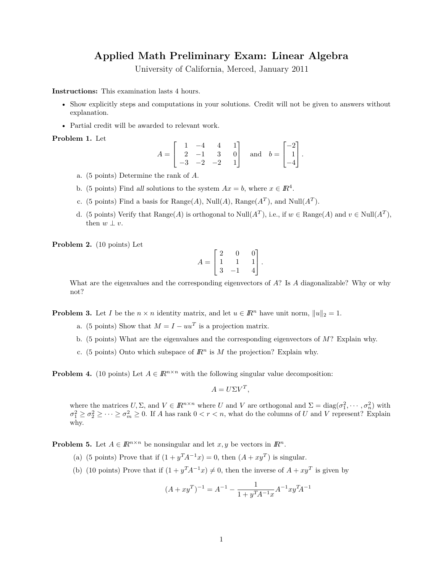## **Applied Math Preliminary Exam: Linear Algebra**

University of California, Merced, January 2011

**Instructions:** This examination lasts 4 hours.

- Show explicitly steps and computations in your solutions. Credit will not be given to answers without explanation.
- Partial credit will be awarded to relevant work.

**Problem 1.** Let

$$
A = \begin{bmatrix} 1 & -4 & 4 & 1 \\ 2 & -1 & 3 & 0 \\ -3 & -2 & -2 & 1 \end{bmatrix} \text{ and } b = \begin{bmatrix} -2 \\ 1 \\ -4 \end{bmatrix}.
$$

- a. (5 points) Determine the rank of *A*.
- b. (5 points) Find all solutions to the system  $Ax = b$ , where  $x \in \mathbb{R}^4$ .
- c. (5 points) Find a basis for  $Range(A)$ ,  $Null(A)$ ,  $Range(A<sup>T</sup>)$ , and  $Null(A<sup>T</sup>)$ .
- d. (5 points) Verify that  $\text{Range}(A)$  is orthogonal to  $\text{Null}(A^T)$ , i.e., if  $w \in \text{Range}(A)$  and  $v \in \text{Null}(A^T)$ , then  $w \perp v$ .

**Problem 2.** (10 points) Let

$$
A = \begin{bmatrix} 2 & 0 & 0 \\ 1 & 1 & 1 \\ 3 & -1 & 4 \end{bmatrix}.
$$

What are the eigenvalues and the corresponding eigenvectors of *A*? Is *A* diagonalizable? Why or why not?

**Problem 3.** Let *I* be the  $n \times n$  identity matrix, and let  $u \in \mathbb{R}^n$  have unit norm,  $||u||_2 = 1$ .

- a. (5 points) Show that  $M = I uu^T$  is a projection matrix.
- b. (5 points) What are the eigenvalues and the corresponding eigenvectors of *M*? Explain why.
- c. (5 points) Onto which subspace of  $\mathbb{R}^n$  is M the projection? Explain why.

**Problem 4.** (10 points) Let  $A \in \mathbb{R}^{n \times n}$  with the following singular value decomposition:

$$
A = U\Sigma V^T,
$$

where the matrices  $U, \Sigma$ , and  $V \in \mathbb{R}^{n \times n}$  where *U* and *V* are orthogonal and  $\Sigma = \text{diag}(\sigma_1^2, \dots, \sigma_n^2)$  with  $\sigma_1^2 \geq \sigma_2^2 \geq \cdots \geq \sigma_m^2 \geq 0$ . If *A* has rank  $0 < r < n$ , what do the columns of *U* and *V* represent? Explain why.

**Problem 5.** Let  $A \in \mathbb{R}^{n \times n}$  be nonsingular and let  $x, y$  be vectors in  $\mathbb{R}^n$ .

- (a) (5 points) Prove that if  $(1 + y^T A^{-1} x) = 0$ , then  $(A + xy^T)$  is singular.
- (b) (10 points) Prove that if  $(1 + y^T A^{-1} x) \neq 0$ , then the inverse of  $A + xy^T$  is given by

$$
(A + xyT)-1 = A-1 - \frac{1}{1 + yTA-1x} A-1 xyTA-1
$$